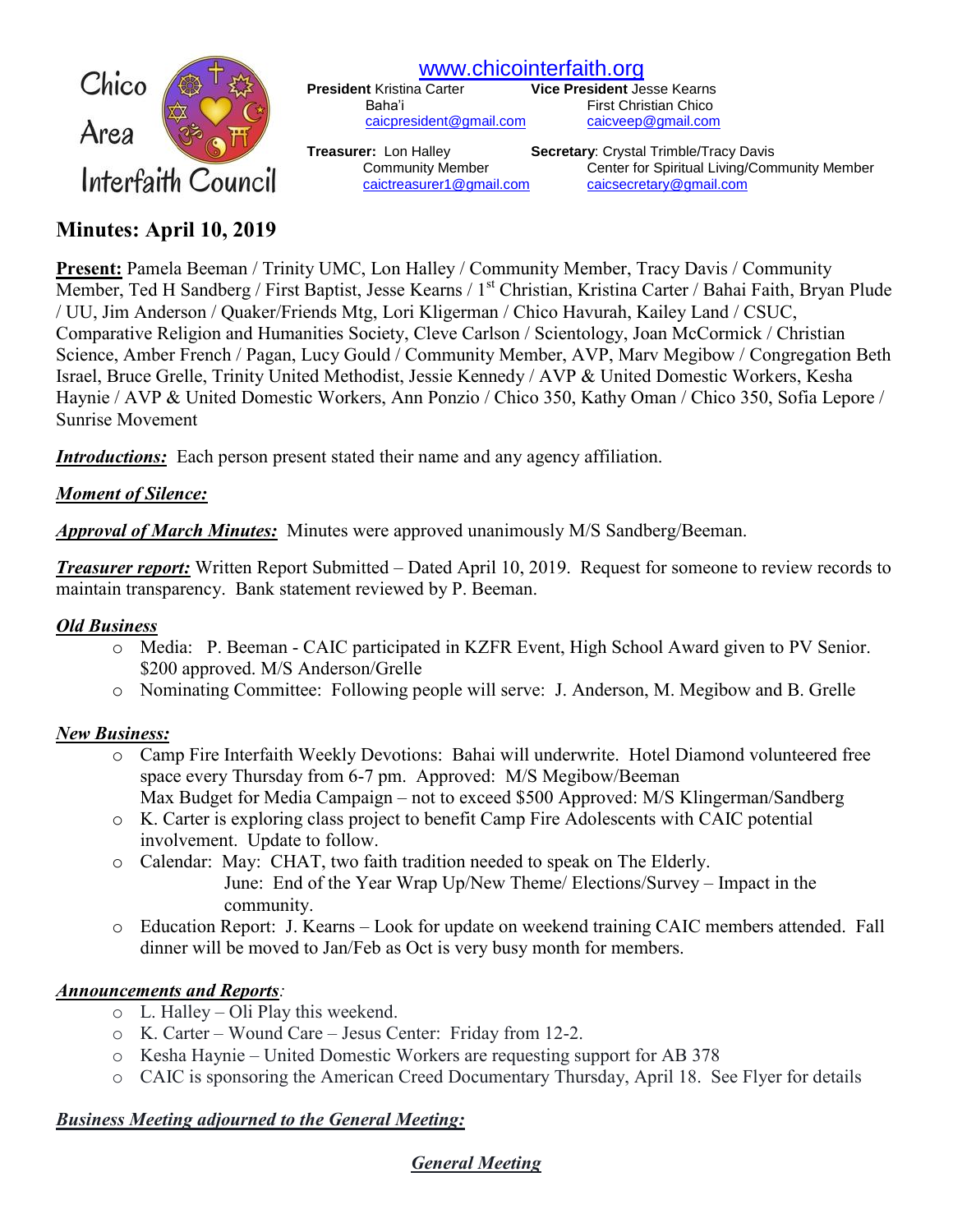

[www.chicointerfaith.org](file:///C:/Users/CSL/Downloads/www.chicointerfaith.org)<br>President Kristina Carter Vice President Je

[caicpresident@gmail.com](mailto:caicpresident@gmail.com)

**Vice President Jesse Kearns** Baha'i First Christian Chico<br>
<u>Caicpresident@gmail.com</u> caicveep@gmail.com

**Treasurer:** Lon Halley **Secretary**: Crystal Trimble/Tracy Davis Community Member Center for Spiritual Living/Community Member [caictreasurer1@gmail.com](mailto:caictreasurer1@gmail.com) [caicsecretary@gmail.com](mailto:caicsecretary@gmail.com)

# **Minutes: April 10, 2019**

**Present:** Pamela Beeman / Trinity UMC, Lon Halley / Community Member, Tracy Davis / Community Member, Ted H Sandberg / First Baptist, Jesse Kearns / 1<sup>st</sup> Christian, Kristina Carter / Bahai Faith, Bryan Plude / UU, Jim Anderson / Quaker/Friends Mtg, Lori Kligerman / Chico Havurah, Kailey Land / CSUC, Comparative Religion and Humanities Society, Cleve Carlson / Scientology, Joan McCormick / Christian Science, Amber French / Pagan, Lucy Gould / Community Member, AVP, Marv Megibow / Congregation Beth Israel, Bruce Grelle, Trinity United Methodist, Jessie Kennedy / AVP & United Domestic Workers, Kesha Haynie / AVP & United Domestic Workers, Ann Ponzio / Chico 350, Kathy Oman / Chico 350, Sofia Lepore / Sunrise Movement

*Introductions:* Each person present stated their name and any agency affiliation.

## *Moment of Silence:*

*Approval of March Minutes:*Minutes were approved unanimously M/S Sandberg/Beeman.

*Treasurer report:* Written Report Submitted – Dated April 10, 2019. Request for someone to review records to maintain transparency. Bank statement reviewed by P. Beeman.

### *Old Business*

- o Media: P. Beeman CAIC participated in KZFR Event, High School Award given to PV Senior. \$200 approved. M/S Anderson/Grelle
- o Nominating Committee: Following people will serve: J. Anderson, M. Megibow and B. Grelle

### *New Business:*

- o Camp Fire Interfaith Weekly Devotions: Bahai will underwrite. Hotel Diamond volunteered free space every Thursday from 6-7 pm. Approved: M/S Megibow/Beeman Max Budget for Media Campaign – not to exceed \$500 Approved: M/S Klingerman/Sandberg
- o K. Carter is exploring class project to benefit Camp Fire Adolescents with CAIC potential involvement. Update to follow.
- o Calendar: May: CHAT, two faith tradition needed to speak on The Elderly. June: End of the Year Wrap Up/New Theme/ Elections/Survey – Impact in the
	- community.
- o Education Report: J. Kearns Look for update on weekend training CAIC members attended. Fall dinner will be moved to Jan/Feb as Oct is very busy month for members.

### *Announcements and Reports:*

- o L. Halley Oli Play this weekend.
- o K. Carter Wound Care Jesus Center: Friday from 12-2.
- o Kesha Haynie United Domestic Workers are requesting support for AB 378
- o CAIC is sponsoring the American Creed Documentary Thursday, April 18. See Flyer for details

## *Business Meeting adjourned to the General Meeting:*

## *General Meeting*